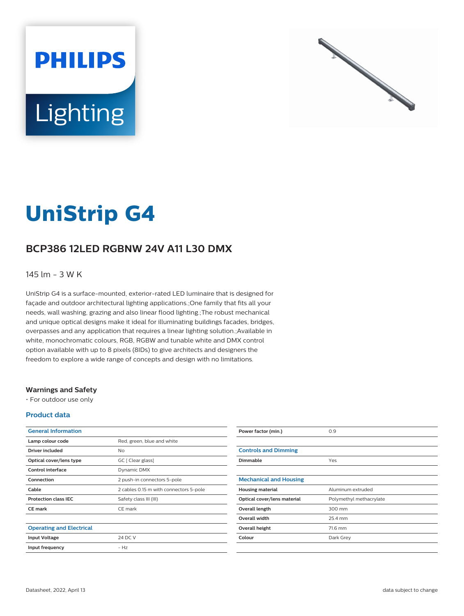



# **UniStrip G4**

## **BCP386 12LED RGBNW 24V A11 L30 DMX**

#### 145 lm - 3 W K

UniStrip G4 is a surface-mounted, exterior-rated LED luminaire that is designed for façade and outdoor architectural lighting applications.;One family that fits all your needs, wall washing, grazing and also linear flood lighting.;The robust mechanical and unique optical designs make it ideal for illuminating buildings facades, bridges, overpasses and any application that requires a linear lighting solution.;Available in white, monochromatic colours, RGB, RGBW and tunable white and DMX control option available with up to 8 pixels (8IDs) to give architects and designers the freedom to explore a wide range of concepts and design with no limitations.

#### **Warnings and Safety**

• For outdoor use only

#### **Product data**

| <b>General Information</b>      |                                        |
|---------------------------------|----------------------------------------|
| Lamp colour code                | Red, green, blue and white             |
| Driver included                 | No                                     |
| Optical cover/lens type         | GC [ Clear glass]                      |
| Control interface               | Dynamic DMX                            |
| Connection                      | 2 push-in connectors 5-pole            |
| Cable                           | 2 cables 0.15 m with connectors 5-pole |
| <b>Protection class IEC</b>     | Safety class III (III)                 |
| <b>CE</b> mark                  | CE mark                                |
|                                 |                                        |
| <b>Operating and Electrical</b> |                                        |
| <b>Input Voltage</b>            | 24 DC V                                |
| Input frequency                 | $- H7$                                 |
|                                 |                                        |

| Power factor (min.)           | 0.9                     |
|-------------------------------|-------------------------|
|                               |                         |
| <b>Controls and Dimming</b>   |                         |
| Dimmable                      | Yes                     |
|                               |                         |
| <b>Mechanical and Housing</b> |                         |
| <b>Housing material</b>       | Aluminum extruded       |
| Optical cover/lens material   | Polymethyl methacrylate |
| Overall length                | 300 mm                  |
| <b>Overall width</b>          | 25.4 mm                 |
| Overall height                | 71.6 mm                 |
| Colour                        | Dark Grey               |
|                               |                         |